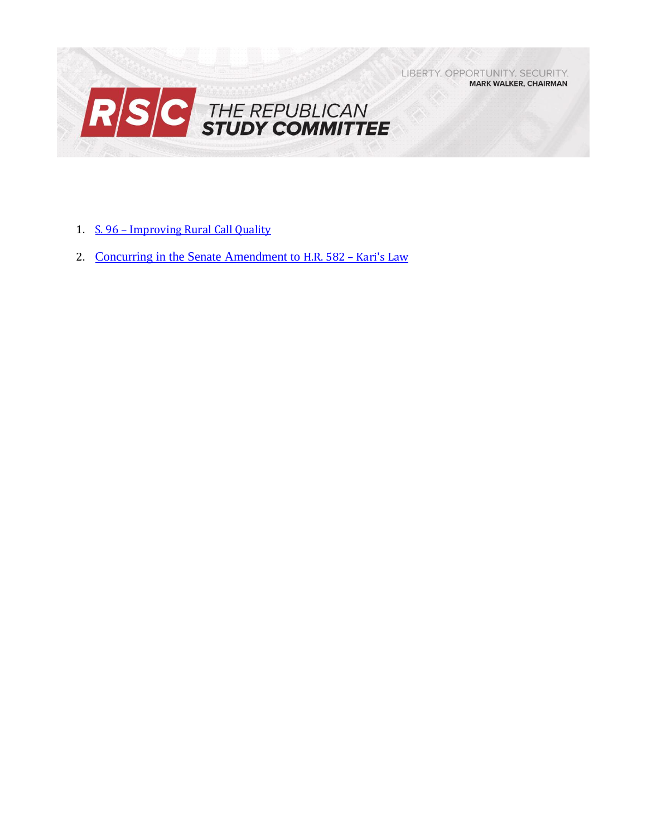

**MARK WALKER, CHAIRMAN** 

- 1. S. 96 [Improving Rural Call Quality](#page-1-0)
- 2. [Concurring in the Senate Amendment to](#page-3-0) H.R. 582 Kari's Law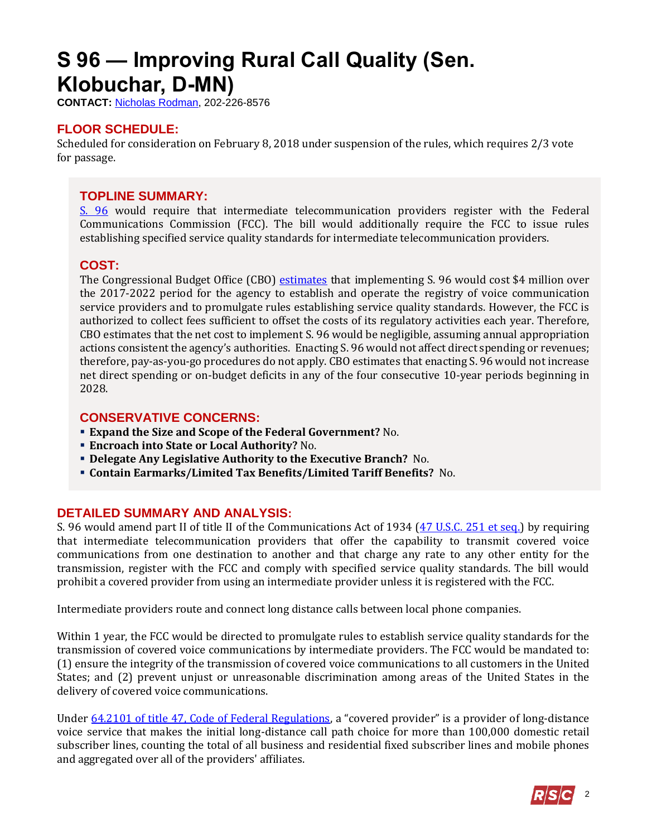# <span id="page-1-0"></span>**S 96 — Improving Rural Call Quality (Sen. Klobuchar, D-MN)**

**CONTACT:** [Nicholas Rodman,](mailto:nicholas.rodman@mail.house.gov) 202-226-8576

# **FLOOR SCHEDULE:**

Scheduled for consideration on February 8, 2018 under suspension of the rules, which requires 2/3 vote for passage.

## **TOPLINE SUMMARY:**

[S. 96](https://www.gpo.gov/fdsys/pkg/BILLS-115s96es/pdf/BILLS-115s96es.pdf) would require that intermediate telecommunication providers register with the Federal Communications Commission (FCC). The bill would additionally require the FCC to issue rules establishing specified service quality standards for intermediate telecommunication providers.

## **COST:**

The Congressional Budget Office (CBO) [estimates](https://www.cbo.gov/sites/default/files/115th-congress-2017-2018/costestimate/s96.pdf) that implementing S. 96 would cost \$4 million over the 2017-2022 period for the agency to establish and operate the registry of voice communication service providers and to promulgate rules establishing service quality standards. However, the FCC is authorized to collect fees sufficient to offset the costs of its regulatory activities each year. Therefore, CBO estimates that the net cost to implement S. 96 would be negligible, assuming annual appropriation actions consistent the agency's authorities. Enacting S. 96 would not affect direct spending or revenues; therefore, pay-as-you-go procedures do not apply. CBO estimates that enacting S. 96 would not increase net direct spending or on-budget deficits in any of the four consecutive 10-year periods beginning in 2028.

### **CONSERVATIVE CONCERNS:**

- **Expand the Size and Scope of the Federal Government?** No.
- **Encroach into State or Local Authority?** No.
- **Delegate Any Legislative Authority to the Executive Branch?** No.
- **Contain Earmarks/Limited Tax Benefits/Limited Tariff Benefits?** No.

### **DETAILED SUMMARY AND ANALYSIS:**

S. 96 would amend part II of title II of the Communications Act of 1934 [\(47 U.S.C. 251 et seq.\)](https://www.gpo.gov/fdsys/pkg/USCODE-2011-title47/pdf/USCODE-2011-title47-chap5-subchapII-partII-sec251.pdf) by requiring that intermediate telecommunication providers that offer the capability to transmit covered voice communications from one destination to another and that charge any rate to any other entity for the transmission, register with the FCC and comply with specified service quality standards. The bill would prohibit a covered provider from using an intermediate provider unless it is registered with the FCC.

Intermediate providers route and connect long distance calls between local phone companies.

Within 1 year, the FCC would be directed to promulgate rules to establish service quality standards for the transmission of covered voice communications by intermediate providers. The FCC would be mandated to: (1) ensure the integrity of the transmission of covered voice communications to all customers in the United States; and (2) prevent unjust or unreasonable discrimination among areas of the United States in the delivery of covered voice communications.

Under [64.2101 of title 47, Code of Federal Regulations](https://www.law.cornell.edu/cfr/text/47/64.2101), a "covered provider" is a provider of long-distance voice service that makes the initial long-distance call path choice for more than 100,000 domestic retail subscriber lines, counting the total of all business and residential fixed subscriber lines and mobile phones and aggregated over all of the providers' affiliates.

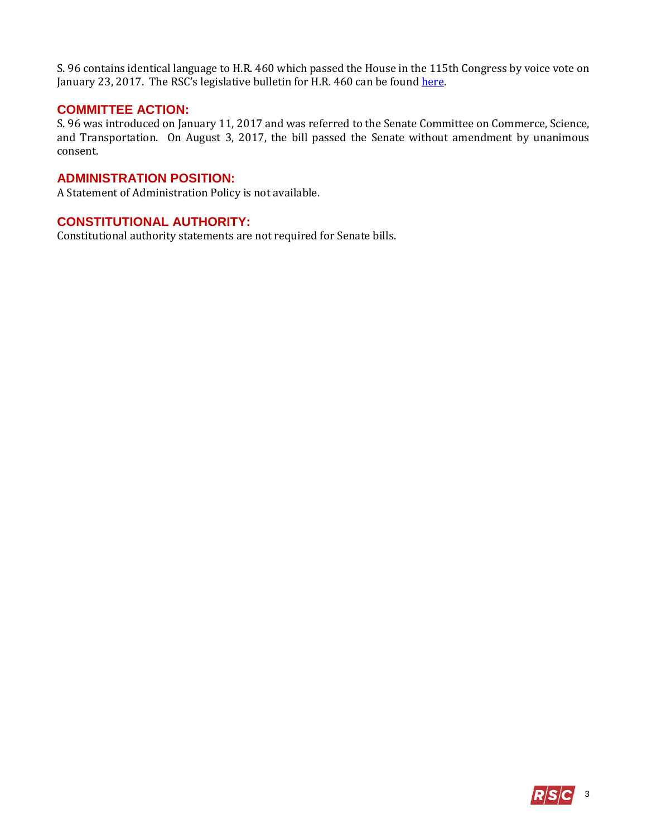S. 96 contains identical language to H.R. 460 which passed the House in the 115th Congress by voice vote on January 23, 2017. The RSC's legislative bulletin for H.R. 460 can be found here.

### **COMMITTEE ACTION:**

S. 96 was introduced on January 11, 2017 and was referred to the Senate Committee on Commerce, Science, and Transportation. On August 3, 2017, the bill passed the Senate without amendment by unanimous consent.

### **ADMINISTRATION POSITION:**

A Statement of Administration Policy is not available.

# **CONSTITUTIONAL AUTHORITY:**

Constitutional authority statements are not required for Senate bills.

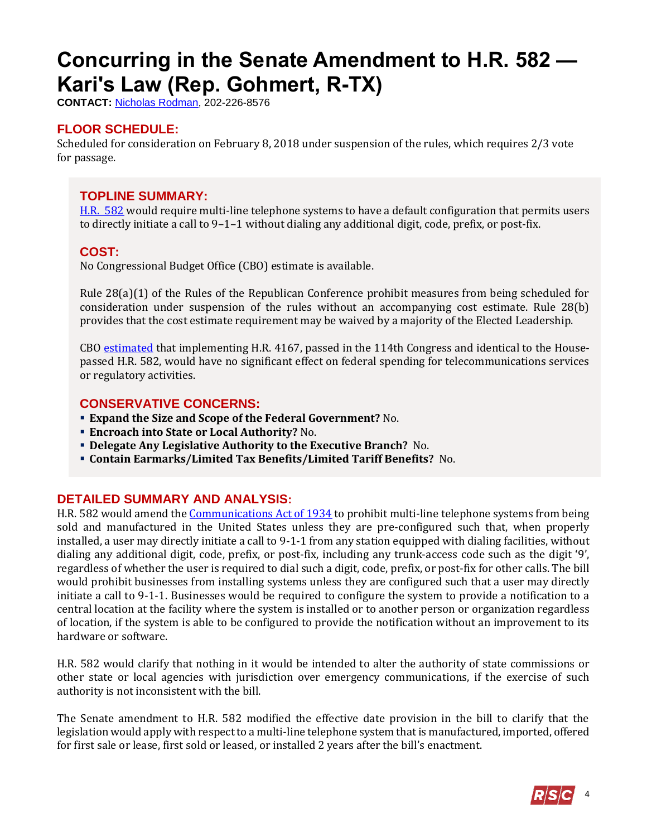# <span id="page-3-0"></span>**Concurring in the Senate Amendment to H.R. 582 — Kari's Law (Rep. Gohmert, R-TX)**

**CONTACT:** [Nicholas Rodman,](mailto:nicholas.rodman@mail.house.gov) 202-226-8576

# **FLOOR SCHEDULE:**

Scheduled for consideration on February 8, 2018 under suspension of the rules, which requires 2/3 vote for passage.

## **TOPLINE SUMMARY:**

[H.R. 582](https://www.gpo.gov/fdsys/pkg/BILLS-115hr582eas/pdf/BILLS-115hr582eas.pdf) would require multi-line telephone systems to have a default configuration that permits users to directly initiate a call to 9–1–1 without dialing any additional digit, code, prefix, or post-fix.

## **COST:**

No Congressional Budget Office (CBO) estimate is available.

Rule 28(a)(1) of the Rules of the Republican Conference prohibit measures from being scheduled for consideration under suspension of the rules without an accompanying cost estimate. Rule 28(b) provides that the cost estimate requirement may be waived by a majority of the Elected Leadership.

CBO [estimated](https://www.cbo.gov/sites/default/files/114th-congress-2015-2016/costestimate/hr4167.pdf) that implementing H.R. 4167, passed in the 114th Congress and identical to the Housepassed H.R. 582, would have no significant effect on federal spending for telecommunications services or regulatory activities.

### **CONSERVATIVE CONCERNS:**

- **Expand the Size and Scope of the Federal Government?** No.
- **Encroach into State or Local Authority?** No.
- **Delegate Any Legislative Authority to the Executive Branch?** No.
- **Contain Earmarks/Limited Tax Benefits/Limited Tariff Benefits?** No.

## **DETAILED SUMMARY AND ANALYSIS:**

H.R. 582 would amend the [Communications Act of 1934](https://www.gpo.gov/fdsys/pkg/USCODE-2009-title47/pdf/USCODE-2009-title47-chap5-subchapVI-sec601.pdf) to prohibit multi-line telephone systems from being sold and manufactured in the United States unless they are pre-configured such that, when properly installed, a user may directly initiate a call to 9-1-1 from any station equipped with dialing facilities, without dialing any additional digit, code, prefix, or post-fix, including any trunk-access code such as the digit '9', regardless of whether the user is required to dial such a digit, code, prefix, or post-fix for other calls. The bill would prohibit businesses from installing systems unless they are configured such that a user may directly initiate a call to 9-1-1. Businesses would be required to configure the system to provide a notification to a central location at the facility where the system is installed or to another person or organization regardless of location, if the system is able to be configured to provide the notification without an improvement to its hardware or software.

H.R. 582 would clarify that nothing in it would be intended to alter the authority of state commissions or other state or local agencies with jurisdiction over emergency communications, if the exercise of such authority is not inconsistent with the bill.

The Senate amendment to H.R. 582 modified the effective date provision in the bill to clarify that the legislation would apply with respect to a multi-line telephone system that is manufactured, imported, offered for first sale or lease, first sold or leased, or installed 2 years after the bill's enactment.